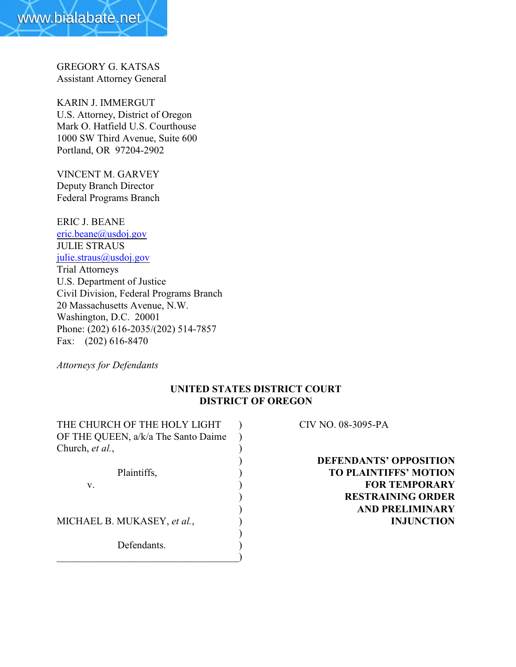

GREGORY G. KATSAS Assistant Attorney General

KARIN J. IMMERGUT U.S. Attorney, District of Oregon Mark O. Hatfield U.S. Courthouse 1000 SW Third Avenue, Suite 600 Portland, OR 97204-2902

VINCENT M. GARVEY Deputy Branch Director Federal Programs Branch

ERIC J. BEANE [eric.beane@usdoj.gov](mailto:eric.beane@usdoj.gov) JULIE STRAUS [julie.straus@usdoj.gov](mailto:julie.straus@usdoj.gov) Trial Attorneys U.S. Department of Justice Civil Division, Federal Programs Branch 20 Massachusetts Avenue, N.W. Washington, D.C. 20001 Phone: (202) 616-2035/(202) 514-7857 Fax: (202) 616-8470

*Attorneys for Defendants*

# **UNITED STATES DISTRICT COURT DISTRICT OF OREGON**

THE CHURCH OF THE HOLY LIGHT ) CIV NO. 08-3095-PA OF THE QUEEN, a/k/a The Santo Daime ) Church, *et al.*, v. **FOR TEMPORARY** MICHAEL B. MUKASEY, *et al.*, ) **INJUNCTION** ) Defendants.  $\hspace{.5em}$   $\hspace{.5em}$   $\hspace{.5em}$   $\hspace{.5em}$   $\hspace{.5em}$   $\hspace{.5em}$   $\hspace{.5em}$   $\hspace{.5em}$   $\hspace{.5em}$   $\hspace{.5em}$   $\hspace{.5em}$   $\hspace{.5em}$   $\hspace{.5em}$   $\hspace{.5em}$   $\hspace{.5em}$   $\hspace{.5em}$   $\hspace{.5em}$   $\hspace{.5em}$   $\hspace{.5em}$   $\hspace{.5em}$ 

) **DEFENDANTS' OPPOSITION** Plaintiffs,  $\qquad \qquad$  **TO PLAINTIFFS' MOTION** ) **RESTRAINING ORDER** ) **AND PRELIMINARY**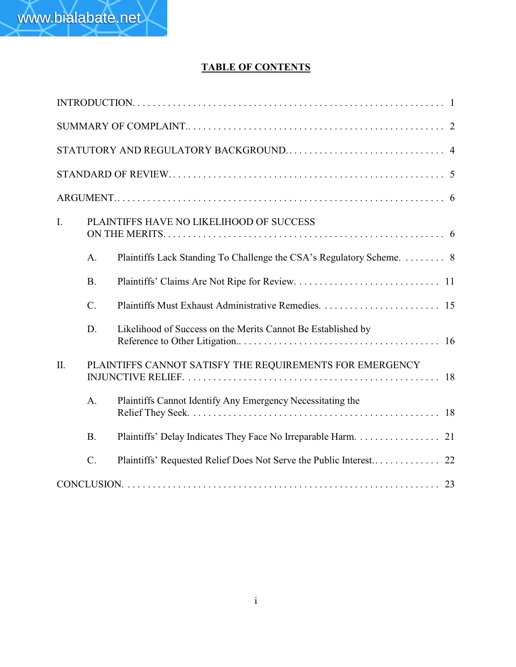# **TABLE OF CONTENTS**

| I.  |           | PLAINTIFFS HAVE NO LIKELIHOOD OF SUCCESS                             |  |  |  |  |
|-----|-----------|----------------------------------------------------------------------|--|--|--|--|
|     | A.        | Plaintiffs Lack Standing To Challenge the CSA's Regulatory Scheme. 8 |  |  |  |  |
|     | <b>B.</b> |                                                                      |  |  |  |  |
|     | C.        |                                                                      |  |  |  |  |
|     | D.        | Likelihood of Success on the Merits Cannot Be Established by         |  |  |  |  |
| II. |           | PLAINTIFFS CANNOT SATISFY THE REQUIREMENTS FOR EMERGENCY             |  |  |  |  |
|     | A.        | Plaintiffs Cannot Identify Any Emergency Necessitating the           |  |  |  |  |
|     | <b>B.</b> | Plaintiffs' Delay Indicates They Face No Irreparable Harm. 21        |  |  |  |  |
|     | $C$ .     |                                                                      |  |  |  |  |
|     |           |                                                                      |  |  |  |  |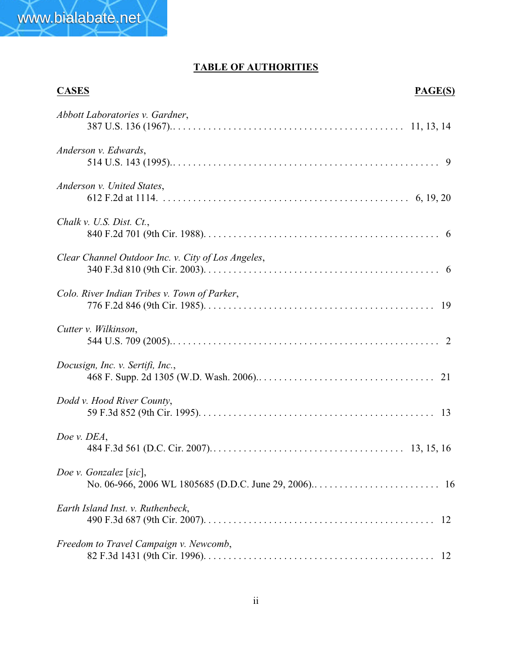

www.bialabate.net

| <b>CASES</b><br>PAGE(S)                            |  |
|----------------------------------------------------|--|
| Abbott Laboratories v. Gardner,                    |  |
| Anderson v. Edwards,                               |  |
| Anderson v. United States,                         |  |
| Chalk v. U.S. Dist. Ct.,                           |  |
| Clear Channel Outdoor Inc. v. City of Los Angeles, |  |
| Colo. River Indian Tribes v. Town of Parker,       |  |
| Cutter v. Wilkinson,                               |  |
| Docusign, Inc. v. Sertifi, Inc.,                   |  |
| Dodd v. Hood River County,                         |  |
| Doe v. DEA,                                        |  |
| Doe v. Gonzalez [sic],                             |  |
| Earth Island Inst. v. Ruthenbeck,                  |  |
| Freedom to Travel Campaign v. Newcomb,             |  |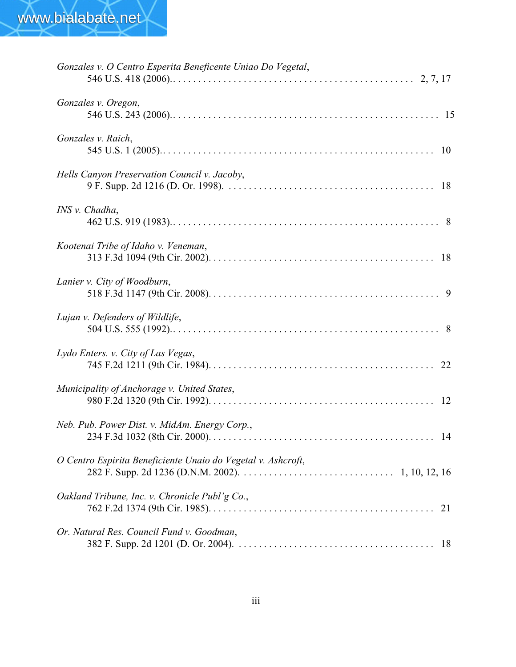| Gonzales v. O Centro Esperita Beneficente Uniao Do Vegetal,  |    |
|--------------------------------------------------------------|----|
| Gonzales v. Oregon,                                          |    |
| Gonzales v. Raich,                                           |    |
| Hells Canyon Preservation Council v. Jacoby,                 |    |
| INS v. Chadha,                                               |    |
| Kootenai Tribe of Idaho v. Veneman,                          |    |
| Lanier v. City of Woodburn,                                  |    |
| Lujan v. Defenders of Wildlife,                              |    |
| Lydo Enters. v. City of Las Vegas,                           |    |
| Municipality of Anchorage v. United States,                  |    |
| Neb. Pub. Power Dist. v. MidAm. Energy Corp.,                |    |
| O Centro Espirita Beneficiente Unaio do Vegetal v. Ashcroft, |    |
| Oakland Tribune, Inc. v. Chronicle Publ'g Co.,               | 21 |
| Or. Natural Res. Council Fund v. Goodman,                    |    |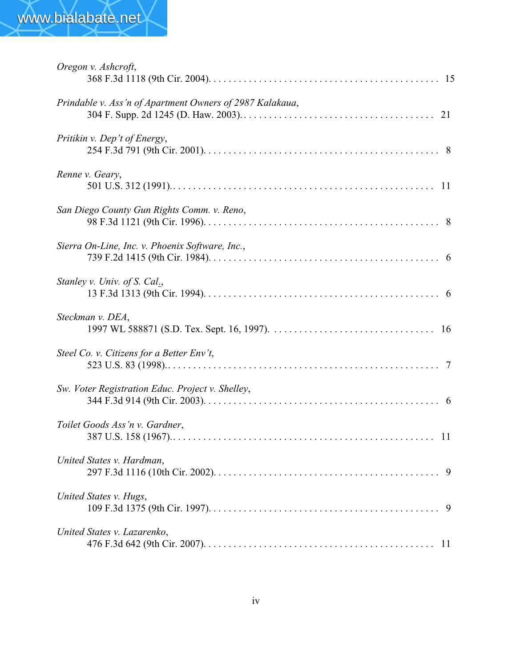| Oregon v. Ashcroft,                                      |  |
|----------------------------------------------------------|--|
| Prindable v. Ass'n of Apartment Owners of 2987 Kalakaua, |  |
| Pritikin v. Dep't of Energy,                             |  |
| Renne v. Geary,                                          |  |
| San Diego County Gun Rights Comm. v. Reno,               |  |
| Sierra On-Line, Inc. v. Phoenix Software, Inc.,          |  |
| Stanley v. Univ. of S. Cal.,                             |  |
| Steckman v. DEA,                                         |  |
| Steel Co. v. Citizens for a Better Env't,                |  |
| Sw. Voter Registration Educ. Project v. Shelley,         |  |
| Toilet Goods Ass'n v. Gardner,                           |  |
| United States v. Hardman,                                |  |
| United States v. Hugs,                                   |  |
| United States v. Lazarenko,                              |  |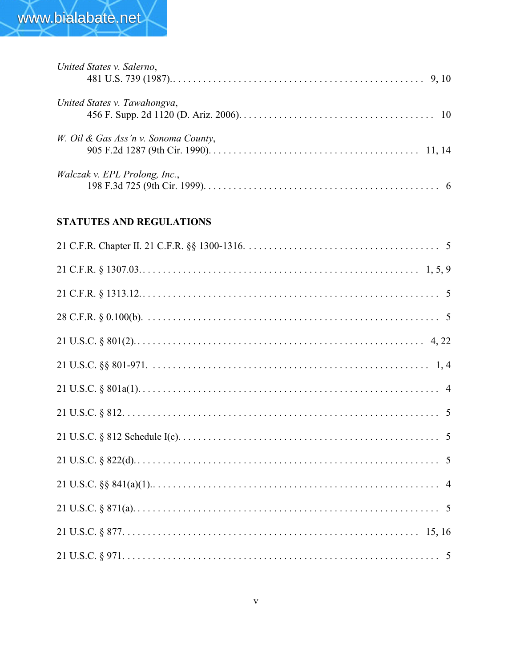| United States v. Salerno,            |  |
|--------------------------------------|--|
| United States v. Tawahongva,         |  |
| W. Oil & Gas Ass'n v. Sonoma County, |  |
| <i>Walczak v. EPL Prolong, Inc.,</i> |  |

# **STATUTES AND REGULATIONS**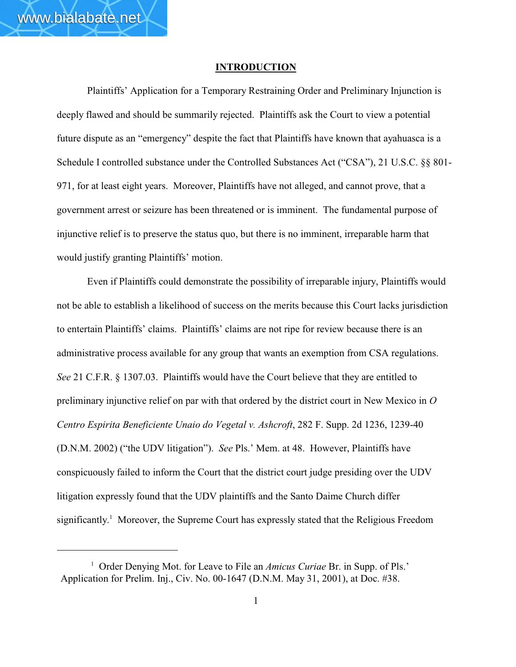#### **INTRODUCTION**

Plaintiffs' Application for a Temporary Restraining Order and Preliminary Injunction is deeply flawed and should be summarily rejected. Plaintiffs ask the Court to view a potential future dispute as an "emergency" despite the fact that Plaintiffs have known that ayahuasca is a Schedule I controlled substance under the Controlled Substances Act ("CSA"), 21 U.S.C. §§ 801- 971, for at least eight years. Moreover, Plaintiffs have not alleged, and cannot prove, that a government arrest or seizure has been threatened or is imminent. The fundamental purpose of injunctive relief is to preserve the status quo, but there is no imminent, irreparable harm that would justify granting Plaintiffs' motion.

Even if Plaintiffs could demonstrate the possibility of irreparable injury, Plaintiffs would not be able to establish a likelihood of success on the merits because this Court lacks jurisdiction to entertain Plaintiffs' claims. Plaintiffs' claims are not ripe for review because there is an administrative process available for any group that wants an exemption from CSA regulations. *See* 21 C.F.R. § 1307.03. Plaintiffs would have the Court believe that they are entitled to preliminary injunctive relief on par with that ordered by the district court in New Mexico in *O Centro Espirita Beneficiente Unaio do Vegetal v. Ashcroft*, 282 F. Supp. 2d 1236, 1239-40 (D.N.M. 2002) ("the UDV litigation"). *See* Pls.' Mem. at 48. However, Plaintiffs have conspicuously failed to inform the Court that the district court judge presiding over the UDV litigation expressly found that the UDV plaintiffs and the Santo Daime Church differ significantly.<sup>1</sup> Moreover, the Supreme Court has expressly stated that the Religious Freedom

<sup>&</sup>lt;sup>1</sup> Order Denying Mot. for Leave to File an *Amicus Curiae* Br. in Supp. of Pls.' Application for Prelim. Inj., Civ. No. 00-1647 (D.N.M. May 31, 2001), at Doc. #38.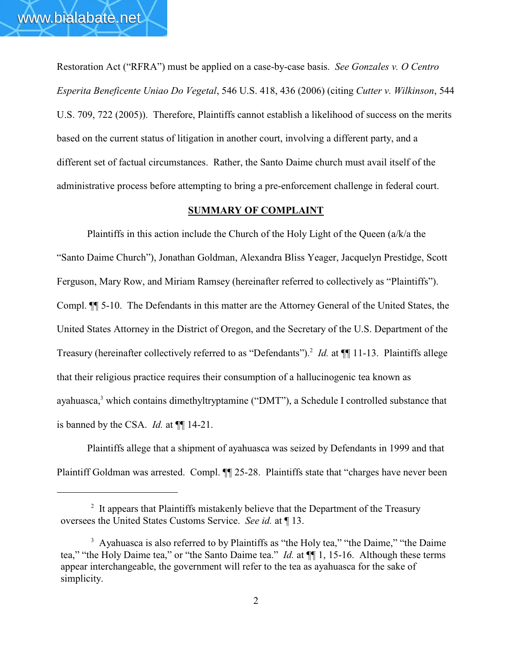Restoration Act ("RFRA") must be applied on a case-by-case basis. *See Gonzales v. O Centro Esperita Beneficente Uniao Do Vegetal*, 546 U.S. 418, 436 (2006) (citing *Cutter v. Wilkinson*, 544 U.S. 709, 722 (2005)). Therefore, Plaintiffs cannot establish a likelihood of success on the merits based on the current status of litigation in another court, involving a different party, and a different set of factual circumstances. Rather, the Santo Daime church must avail itself of the administrative process before attempting to bring a pre-enforcement challenge in federal court.

## **SUMMARY OF COMPLAINT**

Plaintiffs in this action include the Church of the Holy Light of the Queen (a/k/a the "Santo Daime Church"), Jonathan Goldman, Alexandra Bliss Yeager, Jacquelyn Prestidge, Scott Ferguson, Mary Row, and Miriam Ramsey (hereinafter referred to collectively as "Plaintiffs"). Compl. ¶¶ 5-10. The Defendants in this matter are the Attorney General of the United States, the United States Attorney in the District of Oregon, and the Secretary of the U.S. Department of the Treasury (hereinafter collectively referred to as "Defendants").<sup>2</sup> *Id.* at  $\P$  11-13. Plaintiffs allege that their religious practice requires their consumption of a hallucinogenic tea known as ayahuasca, $3$  which contains dimethyltryptamine ("DMT"), a Schedule I controlled substance that is banned by the CSA. *Id.* at ¶¶ 14-21.

Plaintiffs allege that a shipment of ayahuasca was seized by Defendants in 1999 and that Plaintiff Goldman was arrested. Compl.  $\P$  25-28. Plaintiffs state that "charges have never been

 $2$  It appears that Plaintiffs mistakenly believe that the Department of the Treasury oversees the United States Customs Service. *See id.* at ¶ 13.

<sup>&</sup>lt;sup>3</sup> Ayahuasca is also referred to by Plaintiffs as "the Holy tea," "the Daime," "the Daime tea," "the Holy Daime tea," or "the Santo Daime tea." *Id.* at ¶¶ 1, 15-16. Although these terms appear interchangeable, the government will refer to the tea as ayahuasca for the sake of simplicity.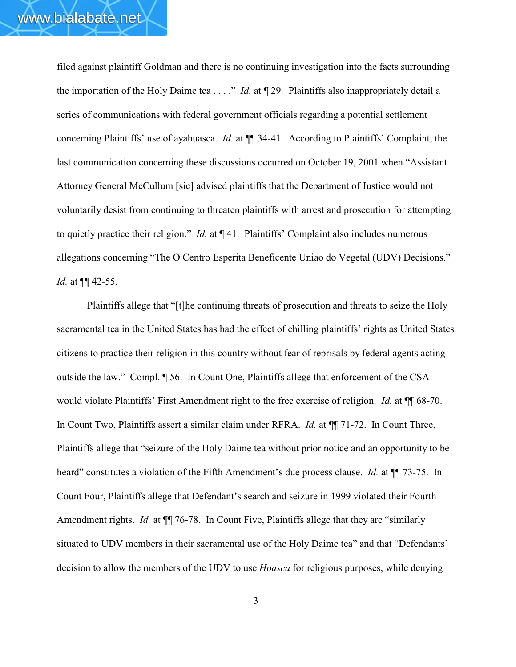filed against plaintiff Goldman and there is no continuing investigation into the facts surrounding the importation of the Holy Daime tea . . . ." *Id.* at ¶ 29. Plaintiffs also inappropriately detail a series of communications with federal government officials regarding a potential settlement concerning Plaintiffs' use of ayahuasca. *Id.* at ¶¶ 34-41. According to Plaintiffs' Complaint, the last communication concerning these discussions occurred on October 19, 2001 when "Assistant Attorney General McCullum [sic] advised plaintiffs that the Department of Justice would not voluntarily desist from continuing to threaten plaintiffs with arrest and prosecution for attempting to quietly practice their religion." *Id.* at ¶ 41. Plaintiffs' Complaint also includes numerous allegations concerning "The O Centro Esperita Beneficente Uniao do Vegetal (UDV) Decisions." *Id.* at ¶¶ 42-55.

Plaintiffs allege that "[t]he continuing threats of prosecution and threats to seize the Holy sacramental tea in the United States has had the effect of chilling plaintiffs' rights as United States citizens to practice their religion in this country without fear of reprisals by federal agents acting outside the law." Compl. ¶ 56. In Count One, Plaintiffs allege that enforcement of the CSA would violate Plaintiffs' First Amendment right to the free exercise of religion. *Id.* at ¶¶ 68-70. In Count Two, Plaintiffs assert a similar claim under RFRA. *Id.* at ¶¶ 71-72. In Count Three, Plaintiffs allege that "seizure of the Holy Daime tea without prior notice and an opportunity to be heard" constitutes a violation of the Fifth Amendment's due process clause. *Id.* at  $\P$  73-75. In Count Four, Plaintiffs allege that Defendant's search and seizure in 1999 violated their Fourth Amendment rights. *Id.* at  $\P$  76-78. In Count Five, Plaintiffs allege that they are "similarly situated to UDV members in their sacramental use of the Holy Daime tea" and that "Defendants' decision to allow the members of the UDV to use *Hoasca* for religious purposes, while denying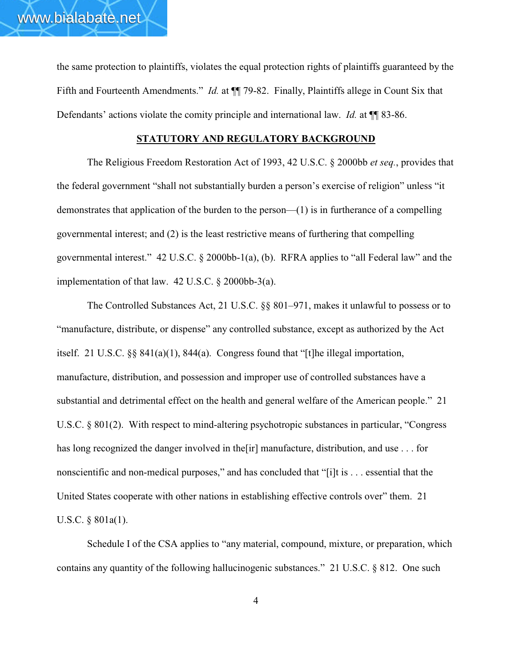the same protection to plaintiffs, violates the equal protection rights of plaintiffs guaranteed by the Fifth and Fourteenth Amendments." *Id.* at  $\P\P$  79-82. Finally, Plaintiffs allege in Count Six that Defendants' actions violate the comity principle and international law. *Id.* at  $\P$  83-86.

# **STATUTORY AND REGULATORY BACKGROUND**

The Religious Freedom Restoration Act of 1993, 42 U.S.C. § 2000bb *et seq.*, provides that the federal government "shall not substantially burden a person's exercise of religion" unless "it demonstrates that application of the burden to the person—(1) is in furtherance of a compelling governmental interest; and (2) is the least restrictive means of furthering that compelling governmental interest." 42 U.S.C. § 2000bb-1(a), (b). RFRA applies to "all Federal law" and the implementation of that law. 42 U.S.C. § 2000bb-3(a).

The Controlled Substances Act, 21 U.S.C. §§ 801–971, makes it unlawful to possess or to "manufacture, distribute, or dispense" any controlled substance, except as authorized by the Act itself. 21 U.S.C. §§ 841(a)(1), 844(a). Congress found that "[t]he illegal importation, manufacture, distribution, and possession and improper use of controlled substances have a substantial and detrimental effect on the health and general welfare of the American people." 21 U.S.C. § 801(2). With respect to mind-altering psychotropic substances in particular, "Congress has long recognized the danger involved in the [ir] manufacture, distribution, and use . . . for nonscientific and non-medical purposes," and has concluded that "[i]t is . . . essential that the United States cooperate with other nations in establishing effective controls over" them. 21 U.S.C. § 801a(1).

Schedule I of the CSA applies to "any material, compound, mixture, or preparation, which contains any quantity of the following hallucinogenic substances." 21 U.S.C. § 812. One such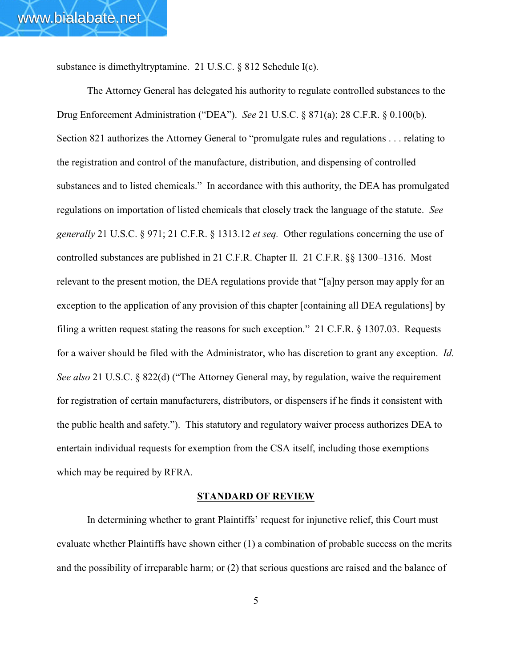substance is dimethyltryptamine. 21 U.S.C. § 812 Schedule I(c).

The Attorney General has delegated his authority to regulate controlled substances to the Drug Enforcement Administration ("DEA"). *See* 21 U.S.C. § 871(a); 28 C.F.R. § 0.100(b). Section 821 authorizes the Attorney General to "promulgate rules and regulations . . . relating to the registration and control of the manufacture, distribution, and dispensing of controlled substances and to listed chemicals." In accordance with this authority, the DEA has promulgated regulations on importation of listed chemicals that closely track the language of the statute. *See generally* 21 U.S.C. § 971; 21 C.F.R. § 1313.12 *et seq.* Other regulations concerning the use of controlled substances are published in 21 C.F.R. Chapter II. 21 C.F.R. §§ 1300–1316. Most relevant to the present motion, the DEA regulations provide that "[a]ny person may apply for an exception to the application of any provision of this chapter [containing all DEA regulations] by filing a written request stating the reasons for such exception." 21 C.F.R. § 1307.03. Requests for a waiver should be filed with the Administrator, who has discretion to grant any exception. *Id*. *See also* 21 U.S.C. § 822(d) ("The Attorney General may, by regulation, waive the requirement for registration of certain manufacturers, distributors, or dispensers if he finds it consistent with the public health and safety."). This statutory and regulatory waiver process authorizes DEA to entertain individual requests for exemption from the CSA itself, including those exemptions which may be required by RFRA.

#### **STANDARD OF REVIEW**

In determining whether to grant Plaintiffs' request for injunctive relief, this Court must evaluate whether Plaintiffs have shown either (1) a combination of probable success on the merits and the possibility of irreparable harm; or (2) that serious questions are raised and the balance of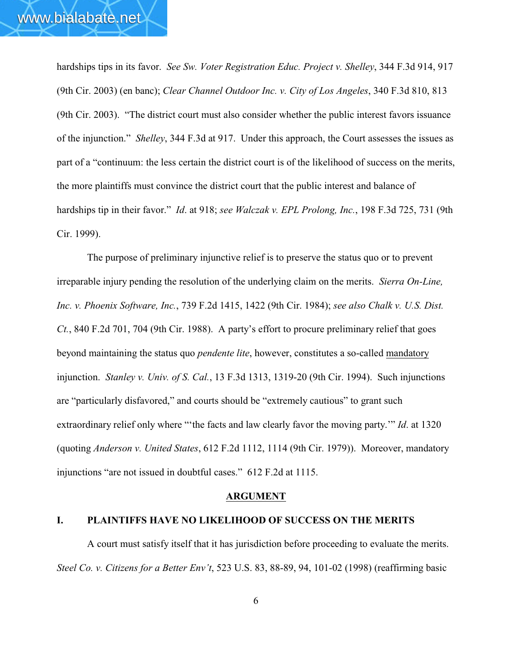hardships tips in its favor. *See Sw. Voter Registration Educ. Project v. Shelley*, 344 F.3d 914, 917 (9th Cir. 2003) (en banc); *Clear Channel Outdoor Inc. v. City of Los Angeles*, 340 F.3d 810, 813 (9th Cir. 2003). "The district court must also consider whether the public interest favors issuance of the injunction." *Shelley*, 344 F.3d at 917. Under this approach, the Court assesses the issues as part of a "continuum: the less certain the district court is of the likelihood of success on the merits, the more plaintiffs must convince the district court that the public interest and balance of hardships tip in their favor." *Id*. at 918; *see Walczak v. EPL Prolong, Inc.*, 198 F.3d 725, 731 (9th Cir. 1999).

The purpose of preliminary injunctive relief is to preserve the status quo or to prevent irreparable injury pending the resolution of the underlying claim on the merits. *Sierra On-Line, Inc. v. Phoenix Software, Inc.*, 739 F.2d 1415, 1422 (9th Cir. 1984); *see also Chalk v. U.S. Dist. Ct.*, 840 F.2d 701, 704 (9th Cir. 1988). A party's effort to procure preliminary relief that goes beyond maintaining the status quo *pendente lite*, however, constitutes a so-called mandatory injunction. *Stanley v. Univ. of S. Cal.*, 13 F.3d 1313, 1319-20 (9th Cir. 1994). Such injunctions are "particularly disfavored," and courts should be "extremely cautious" to grant such extraordinary relief only where "'the facts and law clearly favor the moving party.'" *Id*. at 1320 (quoting *Anderson v. United States*, 612 F.2d 1112, 1114 (9th Cir. 1979)). Moreover, mandatory injunctions "are not issued in doubtful cases." 612 F.2d at 1115.

#### **ARGUMENT**

#### **I. PLAINTIFFS HAVE NO LIKELIHOOD OF SUCCESS ON THE MERITS**

A court must satisfy itself that it has jurisdiction before proceeding to evaluate the merits. *Steel Co. v. Citizens for a Better Env't*, 523 U.S. 83, 88-89, 94, 101-02 (1998) (reaffirming basic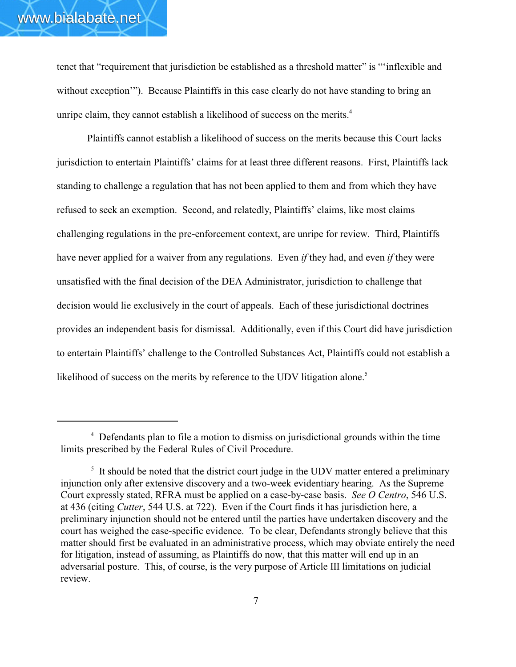tenet that "requirement that jurisdiction be established as a threshold matter" is "'inflexible and without exception'"). Because Plaintiffs in this case clearly do not have standing to bring an unripe claim, they cannot establish a likelihood of success on the merits.<sup>4</sup>

Plaintiffs cannot establish a likelihood of success on the merits because this Court lacks jurisdiction to entertain Plaintiffs' claims for at least three different reasons. First, Plaintiffs lack standing to challenge a regulation that has not been applied to them and from which they have refused to seek an exemption. Second, and relatedly, Plaintiffs' claims, like most claims challenging regulations in the pre-enforcement context, are unripe for review. Third, Plaintiffs have never applied for a waiver from any regulations. Even *if* they had, and even *if* they were unsatisfied with the final decision of the DEA Administrator, jurisdiction to challenge that decision would lie exclusively in the court of appeals. Each of these jurisdictional doctrines provides an independent basis for dismissal. Additionally, even if this Court did have jurisdiction to entertain Plaintiffs' challenge to the Controlled Substances Act, Plaintiffs could not establish a likelihood of success on the merits by reference to the UDV litigation alone.<sup>5</sup>

<sup>&</sup>lt;sup>4</sup> Defendants plan to file a motion to dismiss on jurisdictional grounds within the time limits prescribed by the Federal Rules of Civil Procedure.

 $\frac{1}{2}$  It should be noted that the district court judge in the UDV matter entered a preliminary injunction only after extensive discovery and a two-week evidentiary hearing. As the Supreme Court expressly stated, RFRA must be applied on a case-by-case basis. *See O Centro*, 546 U.S. at 436 (citing *Cutter*, 544 U.S. at 722). Even if the Court finds it has jurisdiction here, a preliminary injunction should not be entered until the parties have undertaken discovery and the court has weighed the case-specific evidence. To be clear, Defendants strongly believe that this matter should first be evaluated in an administrative process, which may obviate entirely the need for litigation, instead of assuming, as Plaintiffs do now, that this matter will end up in an adversarial posture. This, of course, is the very purpose of Article III limitations on judicial review.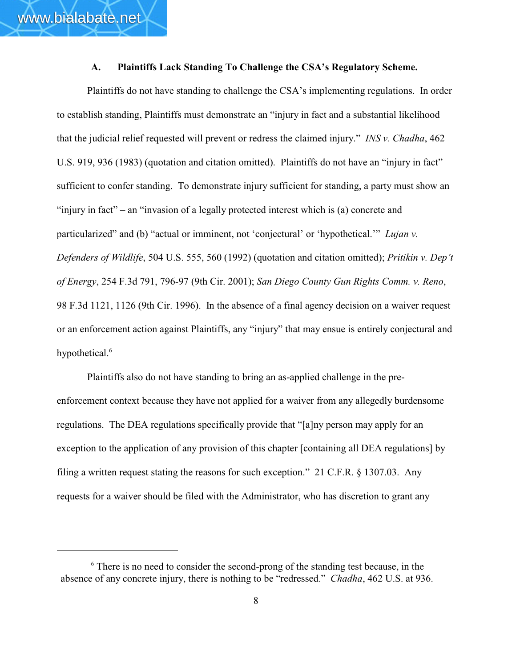#### **A. Plaintiffs Lack Standing To Challenge the CSA's Regulatory Scheme.**

Plaintiffs do not have standing to challenge the CSA's implementing regulations. In order to establish standing, Plaintiffs must demonstrate an "injury in fact and a substantial likelihood that the judicial relief requested will prevent or redress the claimed injury." *INS v. Chadha*, 462 U.S. 919, 936 (1983) (quotation and citation omitted). Plaintiffs do not have an "injury in fact" sufficient to confer standing. To demonstrate injury sufficient for standing, a party must show an "injury in fact" – an "invasion of a legally protected interest which is (a) concrete and particularized" and (b) "actual or imminent, not 'conjectural' or 'hypothetical.'" *Lujan v. Defenders of Wildlife*, 504 U.S. 555, 560 (1992) (quotation and citation omitted); *Pritikin v. Dep't of Energy*, 254 F.3d 791, 796-97 (9th Cir. 2001); *San Diego County Gun Rights Comm. v. Reno*, 98 F.3d 1121, 1126 (9th Cir. 1996). In the absence of a final agency decision on a waiver request or an enforcement action against Plaintiffs, any "injury" that may ensue is entirely conjectural and hypothetical.<sup>6</sup>

Plaintiffs also do not have standing to bring an as-applied challenge in the preenforcement context because they have not applied for a waiver from any allegedly burdensome regulations. The DEA regulations specifically provide that "[a]ny person may apply for an exception to the application of any provision of this chapter [containing all DEA regulations] by filing a written request stating the reasons for such exception." 21 C.F.R. § 1307.03. Any requests for a waiver should be filed with the Administrator, who has discretion to grant any

 $\delta$  There is no need to consider the second-prong of the standing test because, in the absence of any concrete injury, there is nothing to be "redressed." *Chadha*, 462 U.S. at 936.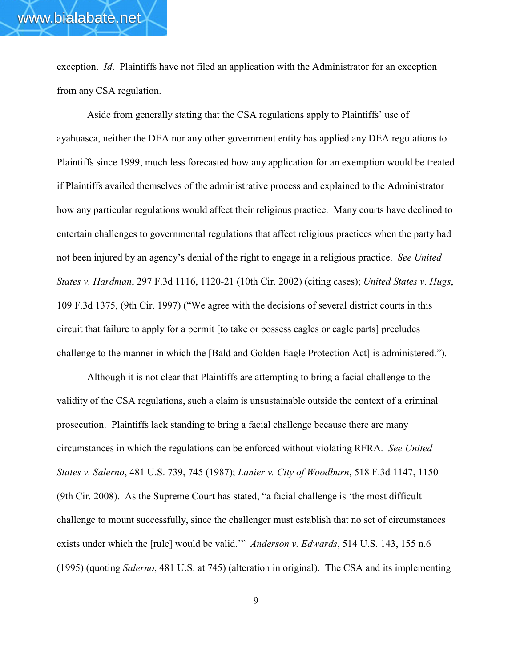exception. *Id*. Plaintiffs have not filed an application with the Administrator for an exception from any CSA regulation.

Aside from generally stating that the CSA regulations apply to Plaintiffs' use of ayahuasca, neither the DEA nor any other government entity has applied any DEA regulations to Plaintiffs since 1999, much less forecasted how any application for an exemption would be treated if Plaintiffs availed themselves of the administrative process and explained to the Administrator how any particular regulations would affect their religious practice. Many courts have declined to entertain challenges to governmental regulations that affect religious practices when the party had not been injured by an agency's denial of the right to engage in a religious practice. *See United States v. Hardman*, 297 F.3d 1116, 1120-21 (10th Cir. 2002) (citing cases); *United States v. Hugs*, 109 F.3d 1375, (9th Cir. 1997) ("We agree with the decisions of several district courts in this circuit that failure to apply for a permit [to take or possess eagles or eagle parts] precludes challenge to the manner in which the [Bald and Golden Eagle Protection Act] is administered.").

Although it is not clear that Plaintiffs are attempting to bring a facial challenge to the validity of the CSA regulations, such a claim is unsustainable outside the context of a criminal prosecution. Plaintiffs lack standing to bring a facial challenge because there are many circumstances in which the regulations can be enforced without violating RFRA. *See United States v. Salerno*, 481 U.S. 739, 745 (1987); *Lanier v. City of Woodburn*, 518 F.3d 1147, 1150 (9th Cir. 2008). As the Supreme Court has stated, "a facial challenge is 'the most difficult challenge to mount successfully, since the challenger must establish that no set of circumstances exists under which the [rule] would be valid.'" *Anderson v. Edwards*, 514 U.S. 143, 155 n.6 (1995) (quoting *Salerno*, 481 U.S. at 745) (alteration in original). The CSA and its implementing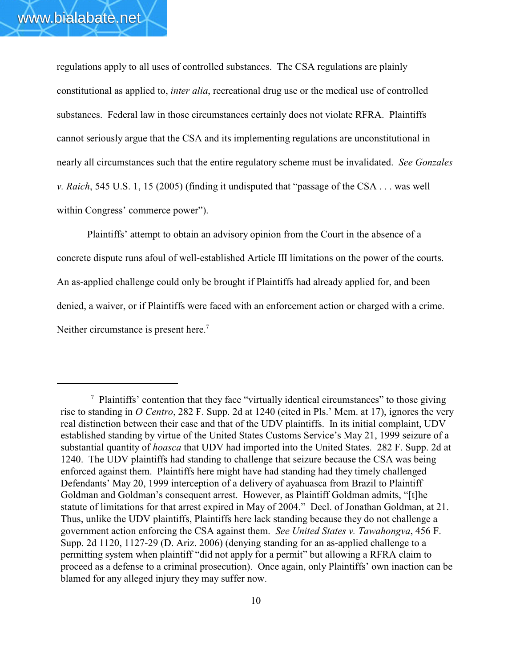regulations apply to all uses of controlled substances. The CSA regulations are plainly constitutional as applied to, *inter alia*, recreational drug use or the medical use of controlled substances. Federal law in those circumstances certainly does not violate RFRA. Plaintiffs cannot seriously argue that the CSA and its implementing regulations are unconstitutional in nearly all circumstances such that the entire regulatory scheme must be invalidated.*See Gonzales v. Raich*, 545 U.S. 1, 15 (2005) (finding it undisputed that "passage of the CSA . . . was well within Congress' commerce power").

Plaintiffs' attempt to obtain an advisory opinion from the Court in the absence of a concrete dispute runs afoul of well-established Article III limitations on the power of the courts. An as-applied challenge could only be brought if Plaintiffs had already applied for, and been denied, a waiver, or if Plaintiffs were faced with an enforcement action or charged with a crime. Neither circumstance is present here.<sup>7</sup>

<sup>&</sup>lt;sup>7</sup> Plaintiffs' contention that they face "virtually identical circumstances" to those giving rise to standing in *O Centro*, 282 F. Supp. 2d at 1240 (cited in Pls.' Mem. at 17), ignores the very real distinction between their case and that of the UDV plaintiffs. In its initial complaint, UDV established standing by virtue of the United States Customs Service's May 21, 1999 seizure of a substantial quantity of *hoasca* that UDV had imported into the United States. 282 F. Supp. 2d at 1240. The UDV plaintiffs had standing to challenge that seizure because the CSA was being enforced against them. Plaintiffs here might have had standing had they timely challenged Defendants' May 20, 1999 interception of a delivery of ayahuasca from Brazil to Plaintiff Goldman and Goldman's consequent arrest. However, as Plaintiff Goldman admits, "[t]he statute of limitations for that arrest expired in May of 2004." Decl. of Jonathan Goldman, at 21. Thus, unlike the UDV plaintiffs, Plaintiffs here lack standing because they do not challenge a government action enforcing the CSA against them. *See United States v. Tawahongva*, 456 F. Supp. 2d 1120, 1127-29 (D. Ariz. 2006) (denying standing for an as-applied challenge to a permitting system when plaintiff "did not apply for a permit" but allowing a RFRA claim to proceed as a defense to a criminal prosecution). Once again, only Plaintiffs' own inaction can be blamed for any alleged injury they may suffer now.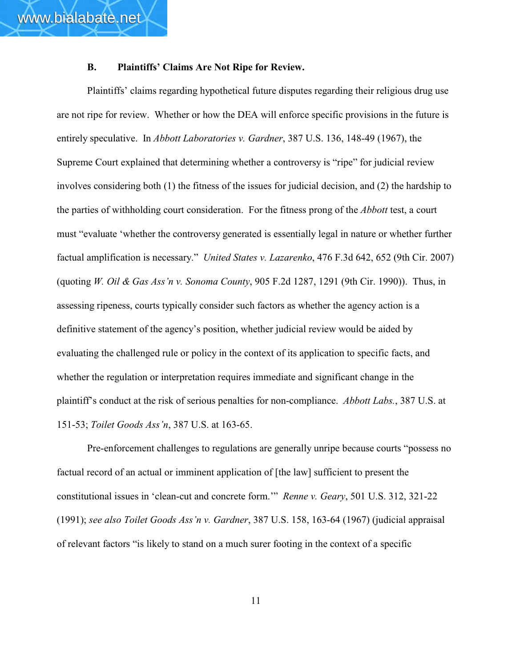# **B. Plaintiffs' Claims Are Not Ripe for Review.**

Plaintiffs' claims regarding hypothetical future disputes regarding their religious drug use are not ripe for review. Whether or how the DEA will enforce specific provisions in the future is entirely speculative. In *Abbott Laboratories v. Gardner*, 387 U.S. 136, 148-49 (1967), the Supreme Court explained that determining whether a controversy is "ripe" for judicial review involves considering both (1) the fitness of the issues for judicial decision, and (2) the hardship to the parties of withholding court consideration. For the fitness prong of the *Abbott* test, a court must "evaluate 'whether the controversy generated is essentially legal in nature or whether further factual amplification is necessary." *United States v. Lazarenko*, 476 F.3d 642, 652 (9th Cir. 2007) (quoting *W. Oil & Gas Ass'n v. Sonoma County*, 905 F.2d 1287, 1291 (9th Cir. 1990)). Thus, in assessing ripeness, courts typically consider such factors as whether the agency action is a definitive statement of the agency's position, whether judicial review would be aided by evaluating the challenged rule or policy in the context of its application to specific facts, and whether the regulation or interpretation requires immediate and significant change in the plaintiff's conduct at the risk of serious penalties for non-compliance. *Abbott Labs.*, 387 U.S. at 151-53; *Toilet Goods Ass'n*, 387 U.S. at 163-65.

Pre-enforcement challenges to regulations are generally unripe because courts "possess no factual record of an actual or imminent application of [the law] sufficient to present the constitutional issues in 'clean-cut and concrete form.'" *Renne v. Geary*, 501 U.S. 312, 321-22 (1991); *see also Toilet Goods Ass'n v. Gardner*, 387 U.S. 158, 163-64 (1967) (judicial appraisal of relevant factors "is likely to stand on a much surer footing in the context of a specific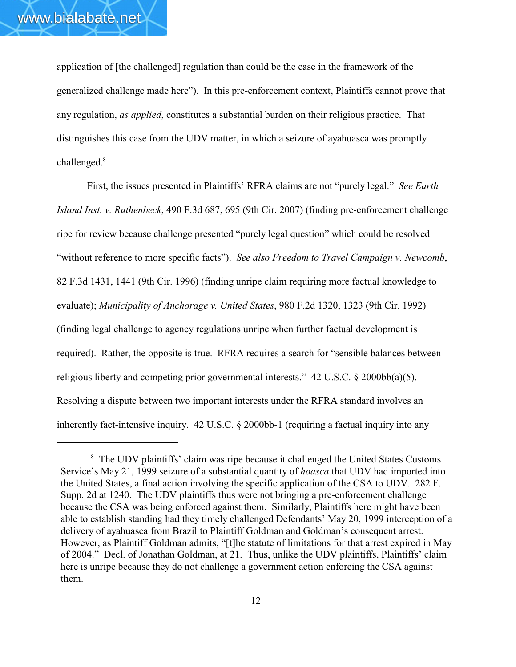application of [the challenged] regulation than could be the case in the framework of the generalized challenge made here"). In this pre-enforcement context, Plaintiffs cannot prove that any regulation, *as applied*, constitutes a substantial burden on their religious practice. That distinguishes this case from the UDV matter, in which a seizure of ayahuasca was promptly challenged.<sup>8</sup>

First, the issues presented in Plaintiffs' RFRA claims are not "purely legal." *See Earth Island Inst. v. Ruthenbeck*, 490 F.3d 687, 695 (9th Cir. 2007) (finding pre-enforcement challenge ripe for review because challenge presented "purely legal question" which could be resolved "without reference to more specific facts"). *See also Freedom to Travel Campaign v. Newcomb*, 82 F.3d 1431, 1441 (9th Cir. 1996) (finding unripe claim requiring more factual knowledge to evaluate); *Municipality of Anchorage v. United States*, 980 F.2d 1320, 1323 (9th Cir. 1992) (finding legal challenge to agency regulations unripe when further factual development is required). Rather, the opposite is true. RFRA requires a search for "sensible balances between religious liberty and competing prior governmental interests." 42 U.S.C. § 2000bb(a)(5). Resolving a dispute between two important interests under the RFRA standard involves an inherently fact-intensive inquiry. 42 U.S.C. § 2000bb-1 (requiring a factual inquiry into any

<sup>&</sup>lt;sup>8</sup> The UDV plaintiffs' claim was ripe because it challenged the United States Customs Service's May 21, 1999 seizure of a substantial quantity of *hoasca* that UDV had imported into the United States, a final action involving the specific application of the CSA to UDV. 282 F. Supp. 2d at 1240. The UDV plaintiffs thus were not bringing a pre-enforcement challenge because the CSA was being enforced against them. Similarly, Plaintiffs here might have been able to establish standing had they timely challenged Defendants' May 20, 1999 interception of a delivery of ayahuasca from Brazil to Plaintiff Goldman and Goldman's consequent arrest. However, as Plaintiff Goldman admits, "[t]he statute of limitations for that arrest expired in May of 2004." Decl. of Jonathan Goldman, at 21. Thus, unlike the UDV plaintiffs, Plaintiffs' claim here is unripe because they do not challenge a government action enforcing the CSA against them.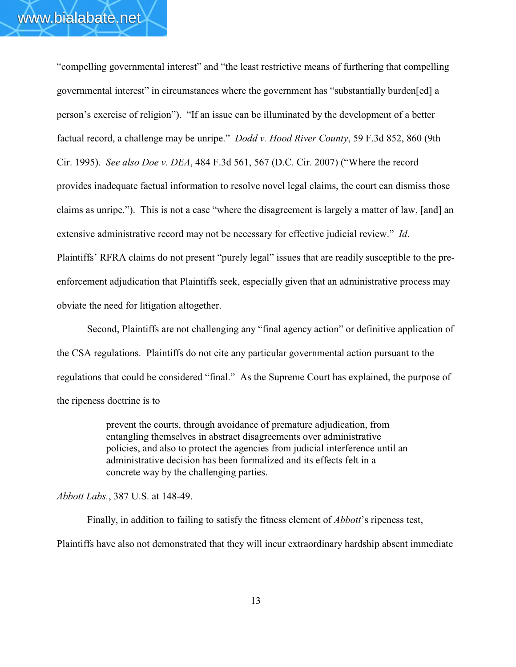"compelling governmental interest" and "the least restrictive means of furthering that compelling governmental interest" in circumstances where the government has "substantially burden[ed] a person's exercise of religion"). "If an issue can be illuminated by the development of a better factual record, a challenge may be unripe." *Dodd v. Hood River County*, 59 F.3d 852, 860 (9th Cir. 1995). *See also Doe v. DEA*, 484 F.3d 561, 567 (D.C. Cir. 2007) ("Where the record provides inadequate factual information to resolve novel legal claims, the court can dismiss those claims as unripe."). This is not a case "where the disagreement is largely a matter of law, [and] an extensive administrative record may not be necessary for effective judicial review." *Id*. Plaintiffs' RFRA claims do not present "purely legal" issues that are readily susceptible to the preenforcement adjudication that Plaintiffs seek, especially given that an administrative process may obviate the need for litigation altogether.

Second, Plaintiffs are not challenging any "final agency action" or definitive application of the CSA regulations. Plaintiffs do not cite any particular governmental action pursuant to the regulations that could be considered "final." As the Supreme Court has explained, the purpose of the ripeness doctrine is to

> prevent the courts, through avoidance of premature adjudication, from entangling themselves in abstract disagreements over administrative policies, and also to protect the agencies from judicial interference until an administrative decision has been formalized and its effects felt in a concrete way by the challenging parties.

*Abbott Labs.*, 387 U.S. at 148-49.

Finally, in addition to failing to satisfy the fitness element of *Abbott*'s ripeness test, Plaintiffs have also not demonstrated that they will incur extraordinary hardship absent immediate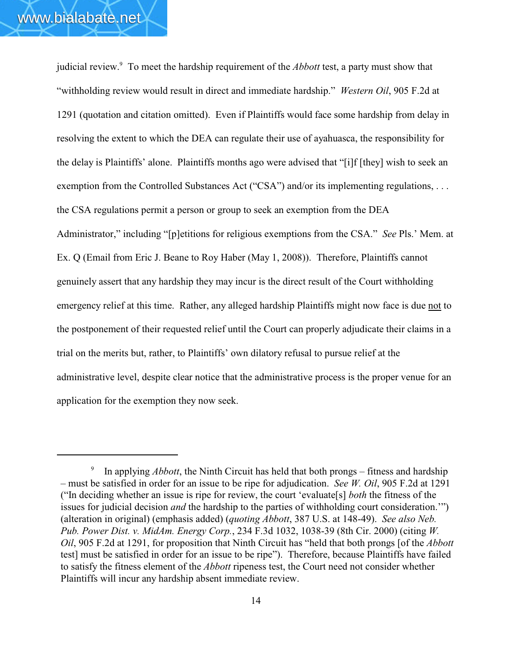judicial review.<sup>9</sup> To meet the hardship requirement of the *Abbott* test, a party must show that "withholding review would result in direct and immediate hardship." *Western Oil*, 905 F.2d at 1291 (quotation and citation omitted). Even if Plaintiffs would face some hardship from delay in resolving the extent to which the DEA can regulate their use of ayahuasca, the responsibility for the delay is Plaintiffs' alone. Plaintiffs months ago were advised that "[i]f [they] wish to seek an exemption from the Controlled Substances Act ("CSA") and/or its implementing regulations, ... the CSA regulations permit a person or group to seek an exemption from the DEA Administrator," including "[p]etitions for religious exemptions from the CSA." *See* Pls.' Mem. at Ex. Q (Email from Eric J. Beane to Roy Haber (May 1, 2008)). Therefore, Plaintiffs cannot genuinely assert that any hardship they may incur is the direct result of the Court withholding emergency relief at this time. Rather, any alleged hardship Plaintiffs might now face is due not to the postponement of their requested relief until the Court can properly adjudicate their claims in a trial on the merits but, rather, to Plaintiffs' own dilatory refusal to pursue relief at the administrative level, despite clear notice that the administrative process is the proper venue for an application for the exemption they now seek.

<sup>&</sup>lt;sup>9</sup> In applying *Abbott*, the Ninth Circuit has held that both prongs – fitness and hardship – must be satisfied in order for an issue to be ripe for adjudication. *See W. Oil*, 905 F.2d at 1291 ("In deciding whether an issue is ripe for review, the court 'evaluate[s] *both* the fitness of the issues for judicial decision *and* the hardship to the parties of withholding court consideration.'") (alteration in original) (emphasis added) (*quoting Abbott*, 387 U.S. at 148-49). *See also Neb. Pub. Power Dist. v. MidAm. Energy Corp.*, 234 F.3d 1032, 1038-39 (8th Cir. 2000) (citing *W. Oil*, 905 F.2d at 1291, for proposition that Ninth Circuit has "held that both prongs [of the *Abbott* test] must be satisfied in order for an issue to be ripe"). Therefore, because Plaintiffs have failed to satisfy the fitness element of the *Abbott* ripeness test, the Court need not consider whether Plaintiffs will incur any hardship absent immediate review.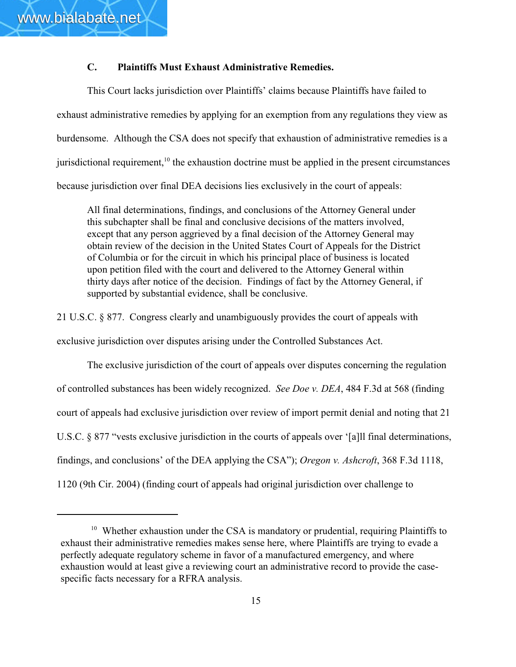# **C. Plaintiffs Must Exhaust Administrative Remedies.**

This Court lacks jurisdiction over Plaintiffs' claims because Plaintiffs have failed to exhaust administrative remedies by applying for an exemption from any regulations they view as burdensome. Although the CSA does not specify that exhaustion of administrative remedies is a jurisdictional requirement,  $\frac{10}{10}$  the exhaustion doctrine must be applied in the present circumstances because jurisdiction over final DEA decisions lies exclusively in the court of appeals:

All final determinations, findings, and conclusions of the Attorney General under this subchapter shall be final and conclusive decisions of the matters involved, except that any person aggrieved by a final decision of the Attorney General may obtain review of the decision in the United States Court of Appeals for the District of Columbia or for the circuit in which his principal place of business is located upon petition filed with the court and delivered to the Attorney General within thirty days after notice of the decision. Findings of fact by the Attorney General, if supported by substantial evidence, shall be conclusive.

21 U.S.C. § 877. Congress clearly and unambiguously provides the court of appeals with exclusive jurisdiction over disputes arising under the Controlled Substances Act.

The exclusive jurisdiction of the court of appeals over disputes concerning the regulation of controlled substances has been widely recognized. *See Doe v. DEA*, 484 F.3d at 568 (finding court of appeals had exclusive jurisdiction over review of import permit denial and noting that 21 U.S.C. § 877 "vests exclusive jurisdiction in the courts of appeals over '[a] I final determinations, findings, and conclusions' of the DEA applying the CSA"); *Oregon v. Ashcroft*, 368 F.3d 1118, 1120 (9th Cir. 2004) (finding court of appeals had original jurisdiction over challenge to

 $10$  Whether exhaustion under the CSA is mandatory or prudential, requiring Plaintiffs to exhaust their administrative remedies makes sense here, where Plaintiffs are trying to evade a perfectly adequate regulatory scheme in favor of a manufactured emergency, and where exhaustion would at least give a reviewing court an administrative record to provide the casespecific facts necessary for a RFRA analysis.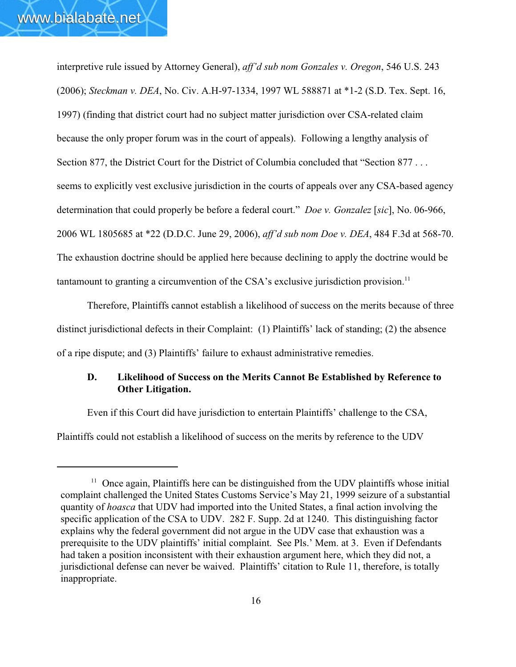interpretive rule issued by Attorney General), *aff'd sub nom Gonzales v. Oregon*, 546 U.S. 243 (2006); *Steckman v. DEA*, No. Civ. A.H-97-1334, 1997 WL 588871 at \*1-2 (S.D. Tex. Sept. 16, 1997) (finding that district court had no subject matter jurisdiction over CSA-related claim because the only proper forum was in the court of appeals). Following a lengthy analysis of Section 877, the District Court for the District of Columbia concluded that "Section 877... seems to explicitly vest exclusive jurisdiction in the courts of appeals over any CSA-based agency determination that could properly be before a federal court." *Doe v. Gonzalez* [*sic*], No. 06-966, 2006 WL 1805685 at \*22 (D.D.C. June 29, 2006), *aff'd sub nom Doe v. DEA*, 484 F.3d at 568-70. The exhaustion doctrine should be applied here because declining to apply the doctrine would be tantamount to granting a circumvention of the CSA's exclusive jurisdiction provision.<sup>11</sup>

Therefore, Plaintiffs cannot establish a likelihood of success on the merits because of three distinct jurisdictional defects in their Complaint: (1) Plaintiffs' lack of standing; (2) the absence of a ripe dispute; and (3) Plaintiffs' failure to exhaust administrative remedies.

# **D. Likelihood of Success on the Merits Cannot Be Established by Reference to Other Litigation.**

Even if this Court did have jurisdiction to entertain Plaintiffs' challenge to the CSA, Plaintiffs could not establish a likelihood of success on the merits by reference to the UDV

 $11$  Once again, Plaintiffs here can be distinguished from the UDV plaintiffs whose initial complaint challenged the United States Customs Service's May 21, 1999 seizure of a substantial quantity of *hoasca* that UDV had imported into the United States, a final action involving the specific application of the CSA to UDV. 282 F. Supp. 2d at 1240. This distinguishing factor explains why the federal government did not argue in the UDV case that exhaustion was a prerequisite to the UDV plaintiffs' initial complaint. See Pls.' Mem. at 3. Even if Defendants had taken a position inconsistent with their exhaustion argument here, which they did not, a jurisdictional defense can never be waived. Plaintiffs' citation to Rule 11, therefore, is totally inappropriate.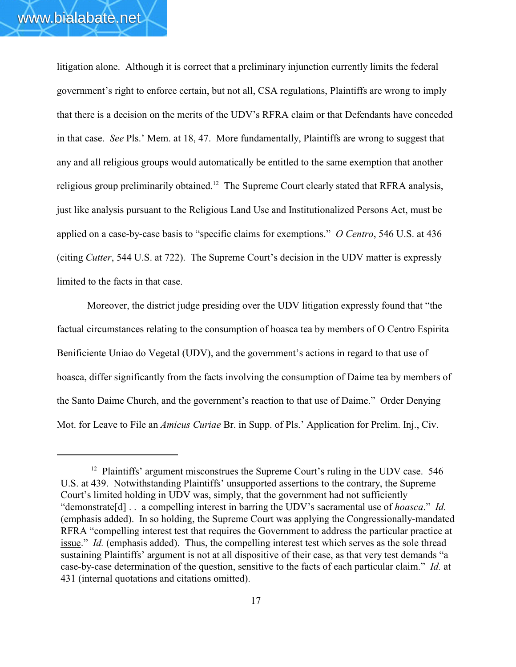litigation alone. Although it is correct that a preliminary injunction currently limits the federal government's right to enforce certain, but not all, CSA regulations, Plaintiffs are wrong to imply that there is a decision on the merits of the UDV's RFRA claim or that Defendants have conceded in that case. *See* Pls.' Mem. at 18, 47. More fundamentally, Plaintiffs are wrong to suggest that any and all religious groups would automatically be entitled to the same exemption that another religious group preliminarily obtained.<sup>12</sup> The Supreme Court clearly stated that RFRA analysis, just like analysis pursuant to the Religious Land Use and Institutionalized Persons Act, must be applied on a case-by-case basis to "specific claims for exemptions." *O Centro*, 546 U.S. at 436 (citing *Cutter*, 544 U.S. at 722). The Supreme Court's decision in the UDV matter is expressly limited to the facts in that case.

Moreover, the district judge presiding over the UDV litigation expressly found that "the factual circumstances relating to the consumption of hoasca tea by members of O Centro Espirita Benificiente Uniao do Vegetal (UDV), and the government's actions in regard to that use of hoasca, differ significantly from the facts involving the consumption of Daime tea by members of the Santo Daime Church, and the government's reaction to that use of Daime." Order Denying Mot. for Leave to File an *Amicus Curiae* Br. in Supp. of Pls.' Application for Prelim. Inj., Civ.

 $12$  Plaintiffs' argument misconstrues the Supreme Court's ruling in the UDV case. 546 U.S. at 439. Notwithstanding Plaintiffs' unsupported assertions to the contrary, the Supreme Court's limited holding in UDV was, simply, that the government had not sufficiently "demonstrate[d] . . a compelling interest in barring the UDV's sacramental use of *hoasca*." *Id.* (emphasis added). In so holding, the Supreme Court was applying the Congressionally-mandated RFRA "compelling interest test that requires the Government to address the particular practice at issue." *Id.* (emphasis added). Thus, the compelling interest test which serves as the sole thread sustaining Plaintiffs' argument is not at all dispositive of their case, as that very test demands "a case-by-case determination of the question, sensitive to the facts of each particular claim." *Id.* at 431 (internal quotations and citations omitted).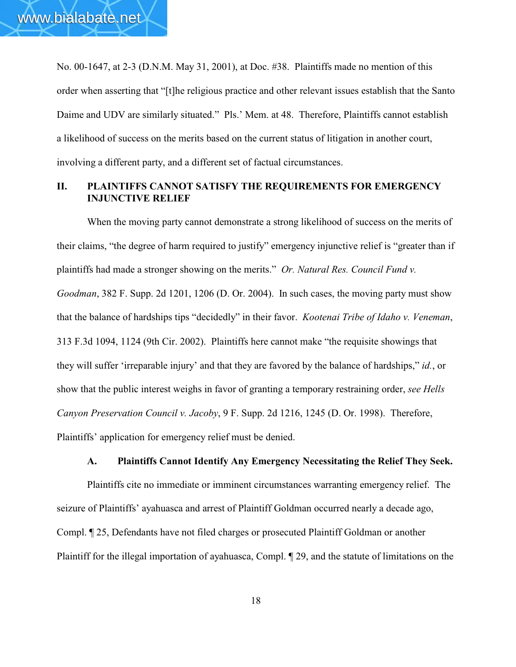No. 00-1647, at 2-3 (D.N.M. May 31, 2001), at Doc. #38. Plaintiffs made no mention of this order when asserting that "[t]he religious practice and other relevant issues establish that the Santo Daime and UDV are similarly situated." Pls.' Mem. at 48. Therefore, Plaintiffs cannot establish a likelihood of success on the merits based on the current status of litigation in another court, involving a different party, and a different set of factual circumstances.

# **II. PLAINTIFFS CANNOT SATISFY THE REQUIREMENTS FOR EMERGENCY INJUNCTIVE RELIEF**

When the moving party cannot demonstrate a strong likelihood of success on the merits of their claims, "the degree of harm required to justify" emergency injunctive relief is "greater than if plaintiffs had made a stronger showing on the merits." *Or. Natural Res. Council Fund v. Goodman*, 382 F. Supp. 2d 1201, 1206 (D. Or. 2004). In such cases, the moving party must show that the balance of hardships tips "decidedly" in their favor. *Kootenai Tribe of Idaho v. Veneman*, 313 F.3d 1094, 1124 (9th Cir. 2002).Plaintiffs here cannot make "the requisite showings that they will suffer 'irreparable injury' and that they are favored by the balance of hardships," *id.*, or show that the public interest weighs in favor of granting a temporary restraining order, *see Hells Canyon Preservation Council v. Jacoby*, 9 F. Supp. 2d 1216, 1245 (D. Or. 1998). Therefore, Plaintiffs' application for emergency relief must be denied.

## **A. Plaintiffs Cannot Identify Any Emergency Necessitating the Relief They Seek.**

Plaintiffs cite no immediate or imminent circumstances warranting emergency relief. The seizure of Plaintiffs' ayahuasca and arrest of Plaintiff Goldman occurred nearly a decade ago, Compl. ¶ 25, Defendants have not filed charges or prosecuted Plaintiff Goldman or another Plaintiff for the illegal importation of ayahuasca, Compl. ¶ 29, and the statute of limitations on the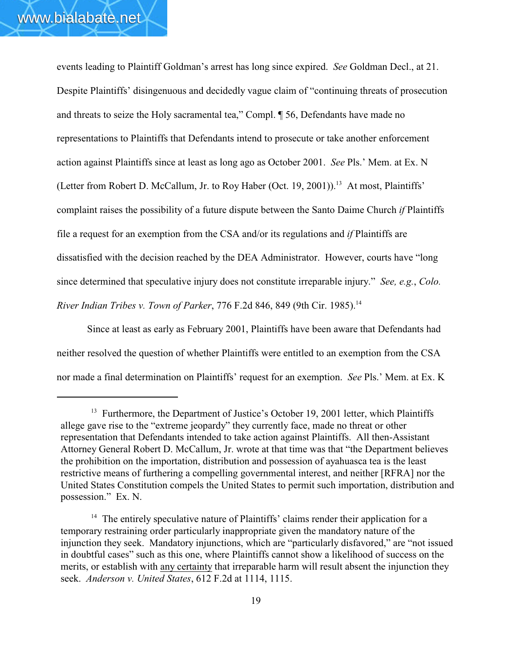events leading to Plaintiff Goldman's arrest has long since expired. *See* Goldman Decl., at 21. Despite Plaintiffs' disingenuous and decidedly vague claim of "continuing threats of prosecution and threats to seize the Holy sacramental tea," Compl. ¶ 56, Defendants have made no representations to Plaintiffs that Defendants intend to prosecute or take another enforcement action against Plaintiffs since at least as long ago as October 2001. *See* Pls.' Mem. at Ex. N (Letter from Robert D. McCallum, Jr. to Roy Haber (Oct. 19, 2001)).<sup>13</sup> At most, Plaintiffs' complaint raises the possibility of a future dispute between the Santo Daime Church *if* Plaintiffs file a request for an exemption from the CSA and/or its regulations and *if* Plaintiffs are dissatisfied with the decision reached by the DEA Administrator. However, courts have "long since determined that speculative injury does not constitute irreparable injury." *See, e.g.*, *Colo. River Indian Tribes v. Town of Parker*, 776 F.2d 846, 849 (9th Cir. 1985).<sup>14</sup>

Since at least as early as February 2001, Plaintiffs have been aware that Defendants had neither resolved the question of whether Plaintiffs were entitled to an exemption from the CSA nor made a final determination on Plaintiffs' request for an exemption. *See* Pls.' Mem. at Ex. K

 $13$  Furthermore, the Department of Justice's October 19, 2001 letter, which Plaintiffs allege gave rise to the "extreme jeopardy" they currently face, made no threat or other representation that Defendants intended to take action against Plaintiffs. All then-Assistant Attorney General Robert D. McCallum, Jr. wrote at that time was that "the Department believes the prohibition on the importation, distribution and possession of ayahuasca tea is the least restrictive means of furthering a compelling governmental interest, and neither [RFRA] nor the United States Constitution compels the United States to permit such importation, distribution and possession." Ex. N.

 $14$  The entirely speculative nature of Plaintiffs' claims render their application for a temporary restraining order particularly inappropriate given the mandatory nature of the injunction they seek. Mandatory injunctions, which are "particularly disfavored," are "not issued in doubtful cases" such as this one, where Plaintiffs cannot show a likelihood of success on the merits, or establish with any certainty that irreparable harm will result absent the injunction they seek. *Anderson v. United States*, 612 F.2d at 1114, 1115.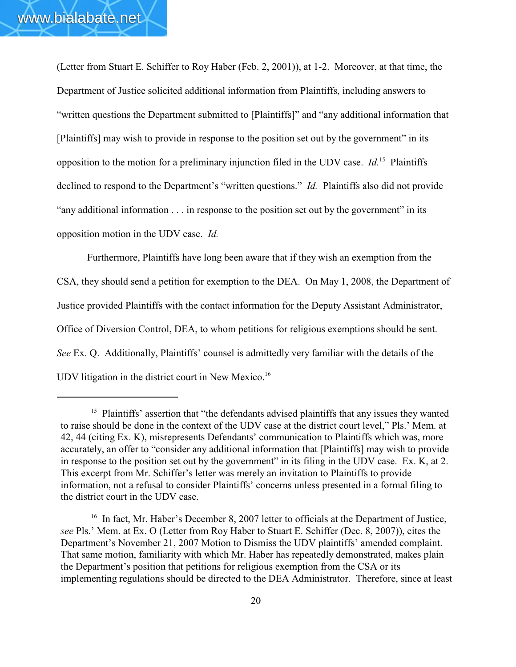(Letter from Stuart E. Schiffer to Roy Haber (Feb. 2, 2001)), at 1-2. Moreover, at that time, the Department of Justice solicited additional information from Plaintiffs, including answers to "written questions the Department submitted to [Plaintiffs]" and "any additional information that [Plaintiffs] may wish to provide in response to the position set out by the government" in its opposition to the motion for a preliminary injunction filed in the UDV case. *Id.*<sup>15</sup> Plaintiffs declined to respond to the Department's "written questions." *Id.* Plaintiffs also did not provide "any additional information . . . in response to the position set out by the government" in its opposition motion in the UDV case. *Id.*

Furthermore, Plaintiffs have long been aware that if they wish an exemption from the CSA, they should send a petition for exemption to the DEA. On May 1, 2008, the Department of Justice provided Plaintiffs with the contact information for the Deputy Assistant Administrator, Office of Diversion Control, DEA, to whom petitions for religious exemptions should be sent. *See* Ex. Q. Additionally, Plaintiffs' counsel is admittedly very familiar with the details of the UDV litigation in the district court in New Mexico.<sup>16</sup>

 $15$  Plaintiffs' assertion that "the defendants advised plaintiffs that any issues they wanted to raise should be done in the context of the UDV case at the district court level," Pls.' Mem. at 42, 44 (citing Ex. K), misrepresents Defendants' communication to Plaintiffs which was, more accurately, an offer to "consider any additional information that [Plaintiffs] may wish to provide in response to the position set out by the government" in its filing in the UDV case. Ex. K, at 2. This excerpt from Mr. Schiffer's letter was merely an invitation to Plaintiffs to provide information, not a refusal to consider Plaintiffs' concerns unless presented in a formal filing to the district court in the UDV case.

 $16$  In fact, Mr. Haber's December 8, 2007 letter to officials at the Department of Justice, *see* Pls.' Mem. at Ex. O (Letter from Roy Haber to Stuart E. Schiffer (Dec. 8, 2007)), cites the Department's November 21, 2007 Motion to Dismiss the UDV plaintiffs' amended complaint. That same motion, familiarity with which Mr. Haber has repeatedly demonstrated, makes plain the Department's position that petitions for religious exemption from the CSA or its implementing regulations should be directed to the DEA Administrator. Therefore, since at least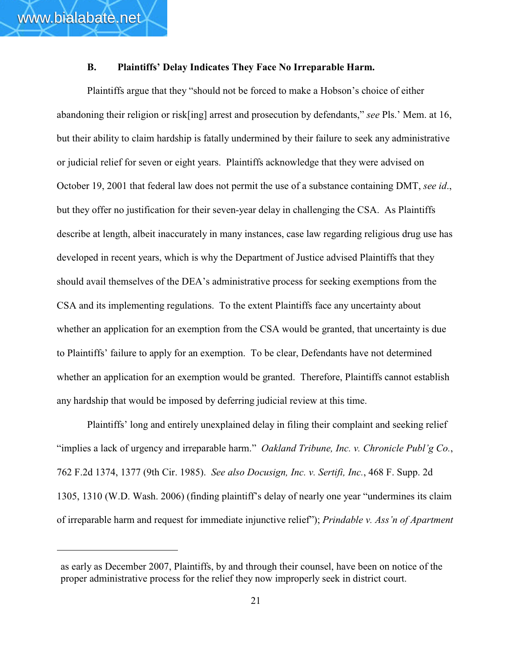## **B. Plaintiffs' Delay Indicates They Face No Irreparable Harm.**

Plaintiffs argue that they "should not be forced to make a Hobson's choice of either abandoning their religion or risk[ing] arrest and prosecution by defendants," *see* Pls.' Mem. at 16, but their ability to claim hardship is fatally undermined by their failure to seek any administrative or judicial relief for seven or eight years. Plaintiffs acknowledge that they were advised on October 19, 2001 that federal law does not permit the use of a substance containing DMT, *see id*., but they offer no justification for their seven-year delay in challenging the CSA. As Plaintiffs describe at length, albeit inaccurately in many instances, case law regarding religious drug use has developed in recent years, which is why the Department of Justice advised Plaintiffs that they should avail themselves of the DEA's administrative process for seeking exemptions from the CSA and its implementing regulations. To the extent Plaintiffs face any uncertainty about whether an application for an exemption from the CSA would be granted, that uncertainty is due to Plaintiffs' failure to apply for an exemption. To be clear, Defendants have not determined whether an application for an exemption would be granted. Therefore, Plaintiffs cannot establish any hardship that would be imposed by deferring judicial review at this time.

Plaintiffs' long and entirely unexplained delay in filing their complaint and seeking relief "implies a lack of urgency and irreparable harm." *Oakland Tribune, Inc. v. Chronicle Publ'g Co.*, 762 F.2d 1374, 1377 (9th Cir. 1985). *See also Docusign, Inc. v. Sertifi, Inc.*, 468 F. Supp. 2d 1305, 1310 (W.D. Wash. 2006) (finding plaintiff's delay of nearly one year "undermines its claim of irreparable harm and request for immediate injunctive relief"); *Prindable v. Ass'n of Apartment*

as early as December 2007, Plaintiffs, by and through their counsel, have been on notice of the proper administrative process for the relief they now improperly seek in district court.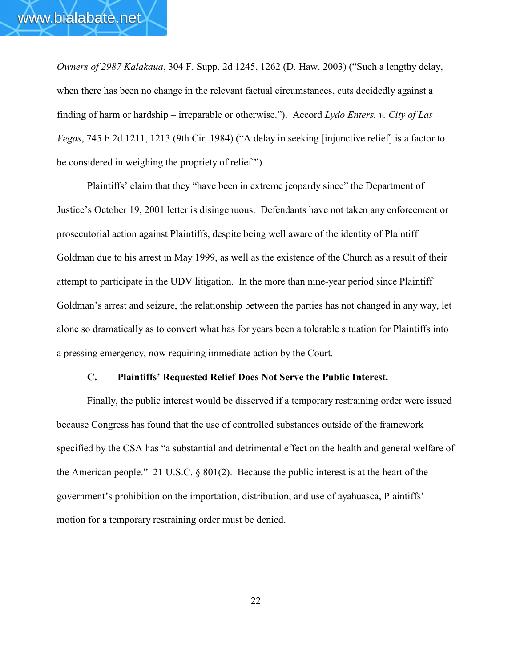*Owners of 2987 Kalakaua*, 304 F. Supp. 2d 1245, 1262 (D. Haw. 2003) ("Such a lengthy delay, when there has been no change in the relevant factual circumstances, cuts decidedly against a finding of harm or hardship – irreparable or otherwise."). Accord *Lydo Enters. v. City of Las Vegas*, 745 F.2d 1211, 1213 (9th Cir. 1984) ("A delay in seeking [injunctive relief] is a factor to be considered in weighing the propriety of relief.").

Plaintiffs' claim that they "have been in extreme jeopardy since" the Department of Justice's October 19, 2001 letter is disingenuous. Defendants have not taken any enforcement or prosecutorial action against Plaintiffs, despite being well aware of the identity of Plaintiff Goldman due to his arrest in May 1999, as well as the existence of the Church as a result of their attempt to participate in the UDV litigation. In the more than nine-year period since Plaintiff Goldman's arrest and seizure, the relationship between the parties has not changed in any way, let alone so dramatically as to convert what has for years been a tolerable situation for Plaintiffs into a pressing emergency, now requiring immediate action by the Court.

## **C. Plaintiffs' Requested Relief Does Not Serve the Public Interest.**

Finally, the public interest would be disserved if a temporary restraining order were issued because Congress has found that the use of controlled substances outside of the framework specified by the CSA has "a substantial and detrimental effect on the health and general welfare of the American people." 21 U.S.C. § 801(2). Because the public interest is at the heart of the government's prohibition on the importation, distribution, and use of ayahuasca, Plaintiffs' motion for a temporary restraining order must be denied.